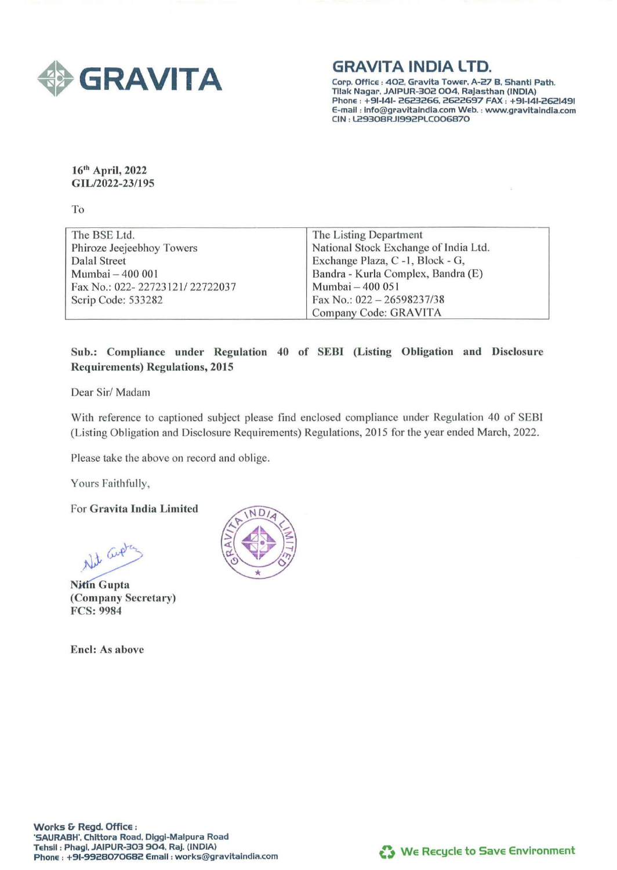

**GRAVITA INDIA LTD.** 

Corp. Office : 402. Gravlta Tower, *A-Zl* B. Shantl Path. Tllak Nagar, JAIPUR-302 004. Rajasthan (INDIA) Phone : +91-141- 2623266. 2622697 FAX : +91-141-2621491 E-mail : lnfo@gravltalndla.com Web. : www.gravltalndla.com CIN : L29308RJI992PLC006870

16<sup>th</sup> April, 2022 GIL/2022-23/195

To

| The BSE Ltd.                   | The Listing Department                |
|--------------------------------|---------------------------------------|
| Phiroze Jeejeebhoy Towers      | National Stock Exchange of India Ltd. |
| Dalal Street                   | Exchange Plaza, C -1, Block - G,      |
| Mumbai - 400 001               | Bandra - Kurla Complex, Bandra (E)    |
| Fax No.: 022-22723121/22722037 | Mumbai - 400 051                      |
| Scrip Code: 533282             | Fax No.: $022 - 26598237/38$          |
|                                | Company Code: GRAVITA                 |

## Sub.: Compliance under Regulation 40 of SEBI (Listing Obligation and Disclosure Requirements) Regulations, 2015

Dear Sir/ Madam

With reference to captioned subject please find enclosed compliance under Regulation 40 of SEBI (Listing Obligation and Disclosure Requirements) Regulations, 2015 for the year ended March, 2022.

Please take the above on record and oblige.

Yours Faithfully,

For Gravita India Limited

Not Guet

(Company Secretary) FCS: 9984

Encl: As above